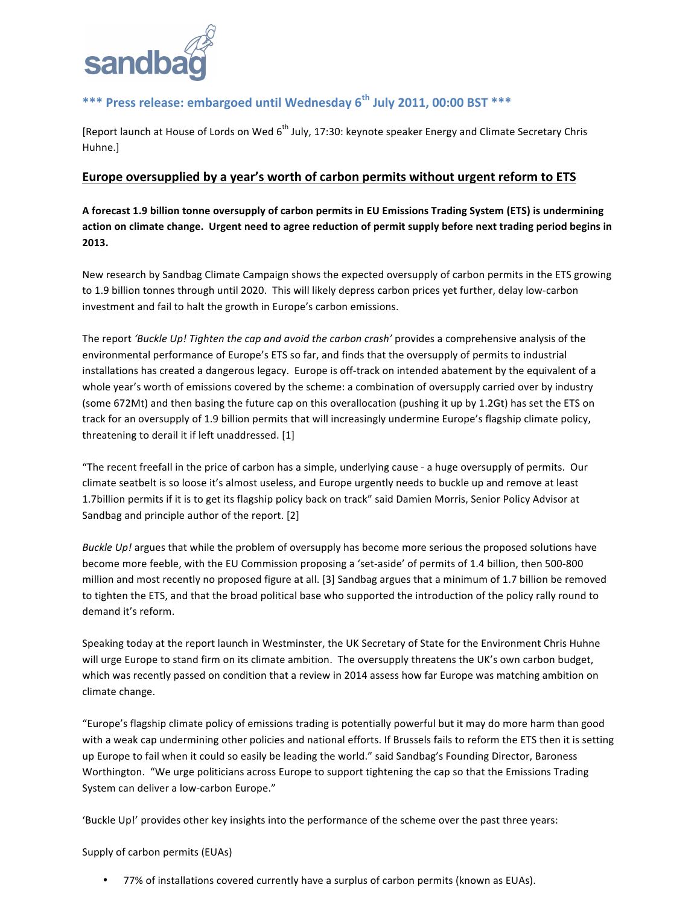

# \*\*\* Press release: embargoed until Wednesday 6<sup>th</sup> July 2011, 00:00 BST \*\*\*

[Report launch at House of Lords on Wed 6<sup>th</sup> July, 17:30: keynote speaker Energy and Climate Secretary Chris Huhne.]

## Europe oversupplied by a year's worth of carbon permits without urgent reform to ETS

A forecast **1.9 billion tonne oversupply of carbon permits in EU Emissions Trading System (ETS) is undermining** action on climate change. Urgent need to agree reduction of permit supply before next trading period begins in **2013.**

New research by Sandbag Climate Campaign shows the expected oversupply of carbon permits in the ETS growing to 1.9 billion tonnes through until 2020. This will likely depress carbon prices yet further, delay low-carbon investment and fail to halt the growth in Europe's carbon emissions.

The report 'Buckle Up! Tighten the cap and avoid the carbon crash' provides a comprehensive analysis of the environmental performance of Europe's ETS so far, and finds that the oversupply of permits to industrial installations has created a dangerous legacy. Europe is off-track on intended abatement by the equivalent of a whole year's worth of emissions covered by the scheme: a combination of oversupply carried over by industry (some 672Mt) and then basing the future cap on this overallocation (pushing it up by 1.2Gt) has set the ETS on track for an oversupply of 1.9 billion permits that will increasingly undermine Europe's flagship climate policy, threatening to derail it if left unaddressed.  $[1]$ 

"The recent freefall in the price of carbon has a simple, underlying cause - a huge oversupply of permits. Our climate seatbelt is so loose it's almost useless, and Europe urgently needs to buckle up and remove at least 1.7billion permits if it is to get its flagship policy back on track" said Damien Morris, Senior Policy Advisor at Sandbag and principle author of the report. [2]

*Buckle Up!* argues that while the problem of oversupply has become more serious the proposed solutions have become more feeble, with the EU Commission proposing a 'set-aside' of permits of 1.4 billion, then 500-800 million and most recently no proposed figure at all. [3] Sandbag argues that a minimum of 1.7 billion be removed to tighten the ETS, and that the broad political base who supported the introduction of the policy rally round to demand it's reform.

Speaking today at the report launch in Westminster, the UK Secretary of State for the Environment Chris Huhne will urge Europe to stand firm on its climate ambition. The oversupply threatens the UK's own carbon budget, which was recently passed on condition that a review in 2014 assess how far Europe was matching ambition on climate change.

"Europe's flagship climate policy of emissions trading is potentially powerful but it may do more harm than good with a weak cap undermining other policies and national efforts. If Brussels fails to reform the ETS then it is setting up Europe to fail when it could so easily be leading the world." said Sandbag's Founding Director, Baroness Worthington. "We urge politicians across Europe to support tightening the cap so that the Emissions Trading System can deliver a low-carbon Europe."

'Buckle Up!' provides other key insights into the performance of the scheme over the past three years:

## Supply of carbon permits (EUAs)

• 77% of installations covered currently have a surplus of carbon permits (known as EUAs).